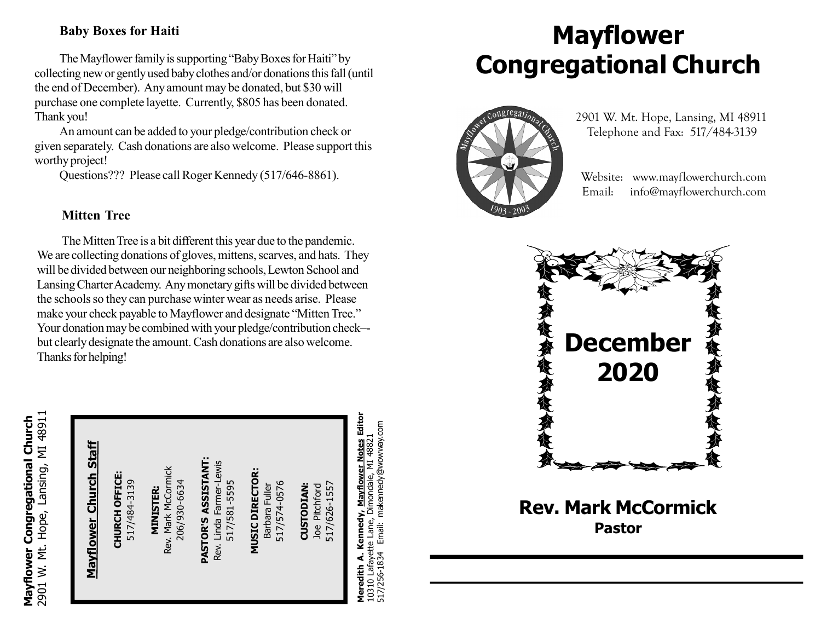#### Baby Boxes for Haiti

The Mayflower family is supporting "Baby Boxes for Haiti" by collecting new or gently used baby clothes and/or donations this fall (until the end of December). Any amount may be donated, but \$30 will purchase one complete layette. Currently, \$805 has been donated. Thank you!

An amount can be added to your pledge/contribution check or given separately. Cash donations are also welcome. Please support this worthy project!

Questions??? Please call Roger Kennedy (517/646-8861).

#### Mitten Tree

The Mitten Tree is a bit different this year due to the pandemic. We are collecting donations of gloves, mittens, scarves, and hats. They will be divided between our neighboring schools, Lewton School and Lansing Charter Academy. Any monetary gifts will be divided between the schools so they can purchase winter wear as needs arise. Please make your check payable to Mayflower and designate "Mitten Tree." Your donation may be combined with your pledge/contribution check– but clearly designate the amount. Cash donations are also welcome. Thanks for helping!

| 2901 W. Mt. Hope, Lansing, MI 48911<br>Mayflower Congregational Church | <b>Staff</b><br><u>Mayflower Church</u> | CHURCH OFFICE:<br>517/484-3139 | Rev. Mark McCormick<br>206/930-6634<br><b>MINISTER:</b> | PASTOR'S ASSISTANT:<br>Linda Farmer-Lewis<br>517/581-5595<br>Rev. | <b>MUSIC DIRECTOR:</b><br>517/574-0576<br>Barbara Fuller | 517/626-1557<br><b>CUSTODIAN:</b><br>Pitchford<br><b>Joe</b> | Mayflower Notes Editor<br>Meredith A. Kennedy, <u>Mayflower Notes</u> Edit<br>10310 Lafayette Lane, Dimondale, MI 48821<br>517/256-1834 Email: makennedy@wowway.com | (夜多夜<br>Rev. |
|------------------------------------------------------------------------|-----------------------------------------|--------------------------------|---------------------------------------------------------|-------------------------------------------------------------------|----------------------------------------------------------|--------------------------------------------------------------|---------------------------------------------------------------------------------------------------------------------------------------------------------------------|--------------|
|                                                                        |                                         |                                |                                                         |                                                                   |                                                          |                                                              |                                                                                                                                                                     |              |

# Mayflower Congregational Church



 2901 W. Mt. Hope, Lansing, MI 48911 Telephone and Fax: 517/484-3139

 Website: www.mayflowerchurch.com Email: info@mayflowerchurch.com



Rev. Mark McCormick Pastor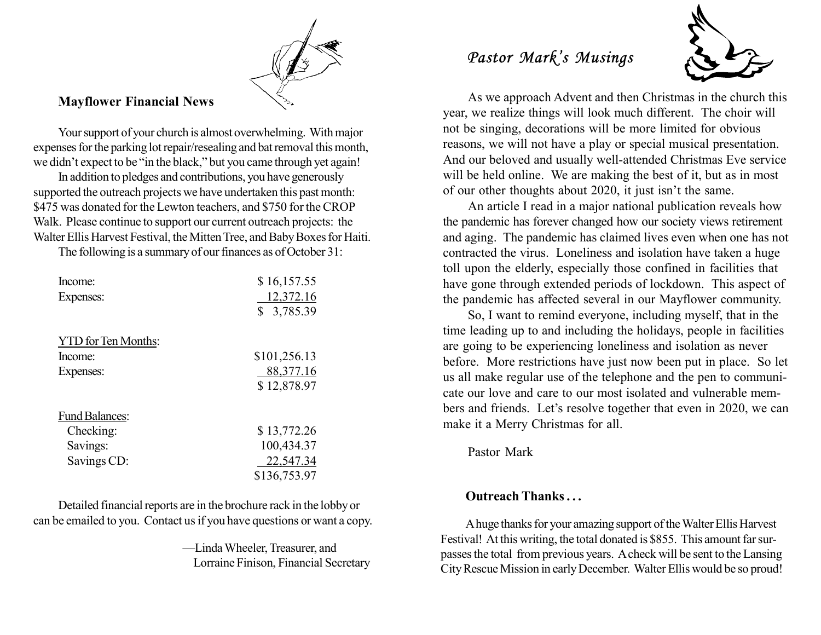#### Mayflower Financial News

Your support of your church is almost overwhelming. With major expenses for the parking lot repair/resealing and bat removal this month, we didn't expect to be "in the black," but you came through yet again!

In addition to pledges and contributions, you have generously supported the outreach projects we have undertaken this past month: \$475 was donated for the Lewton teachers, and \$750 for the CROP Walk. Please continue to support our current outreach projects: the Walter Ellis Harvest Festival, the Mitten Tree, and Baby Boxes for Haiti.

The following is a summary of our finances as of October 31:

| Income:                    | \$16,157.55    |
|----------------------------|----------------|
| Expenses:                  | 12,372.16      |
|                            | \$<br>3,785.39 |
| <b>YTD</b> for Ten Months: |                |
| Income:                    | \$101,256.13   |
| Expenses:                  | 88, 377. 16    |
|                            | \$12,878.97    |
| <b>Fund Balances:</b>      |                |
| Checking:                  | \$13,772.26    |
| Savings:                   | 100,434.37     |
| Savings CD:                | 22,547.34      |
|                            | \$136,753.97   |

Detailed financial reports are in the brochure rack in the lobby or can be emailed to you. Contact us if you have questions or want a copy.

> —Linda Wheeler, Treasurer, and Lorraine Finison, Financial Secretary

### Pastor Mark's Musings



As we approach Advent and then Christmas in the church this year, we realize things will look much different. The choir will not be singing, decorations will be more limited for obvious reasons, we will not have a play or special musical presentation. And our beloved and usually well-attended Christmas Eve service will be held online. We are making the best of it, but as in most of our other thoughts about 2020, it just isn't the same.

An article I read in a major national publication reveals how the pandemic has forever changed how our society views retirement and aging. The pandemic has claimed lives even when one has not contracted the virus. Loneliness and isolation have taken a huge toll upon the elderly, especially those confined in facilities that have gone through extended periods of lockdown. This aspect of the pandemic has affected several in our Mayflower community.

So, I want to remind everyone, including myself, that in the time leading up to and including the holidays, people in facilities are going to be experiencing loneliness and isolation as never before. More restrictions have just now been put in place. So let us all make regular use of the telephone and the pen to communicate our love and care to our most isolated and vulnerable members and friends. Let's resolve together that even in 2020, we can make it a Merry Christmas for all.

Pastor Mark

#### Outreach Thanks . . .

A huge thanks for your amazing support of the Walter Ellis Harvest Festival! At this writing, the total donated is \$855. This amount far surpasses the total from previous years. A check will be sent to the Lansing City Rescue Mission in early December. Walter Ellis would be so proud!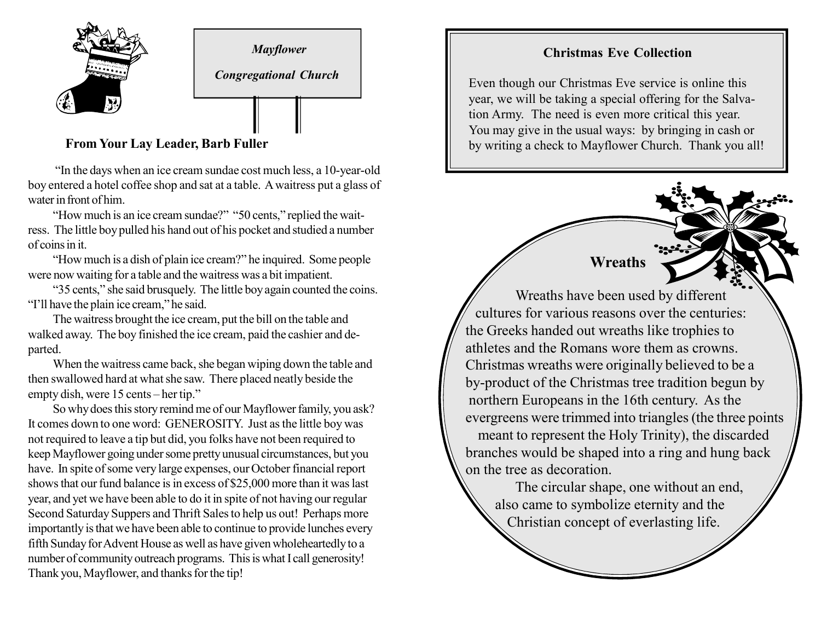

Mayflower

Congregational Church

#### From Your Lay Leader, Barb Fuller

 "In the days when an ice cream sundae cost much less, a 10-year-old boy entered a hotel coffee shop and sat at a table. A waitress put a glass of water in front of him.

"How much is an ice cream sundae?" "50 cents," replied the waitress. The little boy pulled his hand out of his pocket and studied a number of coins in it.

"How much is a dish of plain ice cream?" he inquired. Some people were now waiting for a table and the waitress was a bit impatient.

"35 cents," she said brusquely. The little boy again counted the coins. "I'll have the plain ice cream," he said.

The waitress brought the ice cream, put the bill on the table and walked away. The boy finished the ice cream, paid the cashier and departed.

When the waitress came back, she began wiping down the table and then swallowed hard at what she saw. There placed neatly beside the empty dish, were 15 cents – her tip."

So why does this story remind me of our Mayflower family, you ask? It comes down to one word: GENEROSITY. Just as the little boy was not required to leave a tip but did, you folks have not been required to keep Mayflower going under some pretty unusual circumstances, but you have. In spite of some very large expenses, our October financial report shows that our fund balance is in excess of \$25,000 more than it was last year, and yet we have been able to do it in spite of not having our regular Second Saturday Suppers and Thrift Sales to help us out! Perhaps more importantly is that we have been able to continue to provide lunches every fifth Sunday for Advent House as well as have given wholeheartedly to a number of community outreach programs. This is what I call generosity! Thank you, Mayflower, and thanks for the tip!

#### Christmas Eve Collection

Even though our Christmas Eve service is online this year, we will be taking a special offering for the Salvation Army. The need is even more critical this year. You may give in the usual ways: by bringing in cash or by writing a check to Mayflower Church. Thank you all!

Wreaths

Wreaths have been used by different cultures for various reasons over the centuries: the Greeks handed out wreaths like trophies to athletes and the Romans wore them as crowns. Christmas wreaths were originally believed to be a by-product of the Christmas tree tradition begun by northern Europeans in the 16th century. As the evergreens were trimmed into triangles (the three points meant to represent the Holy Trinity), the discarded branches would be shaped into a ring and hung back on the tree as decoration.

The circular shape, one without an end, also came to symbolize eternity and the Christian concept of everlasting life.